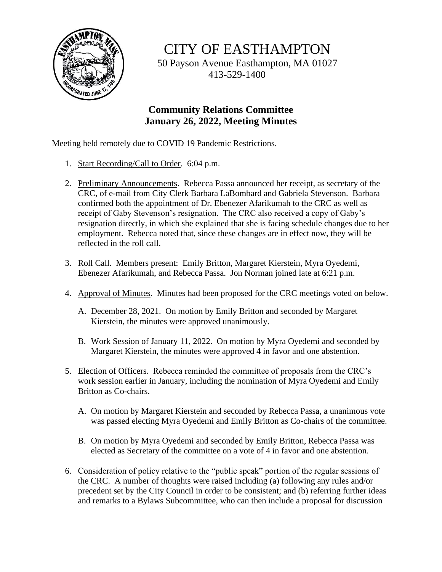

CITY OF EASTHAMPTON

50 Payson Avenue Easthampton, MA 01027 413-529-1400

## **Community Relations Committee January 26, 2022, Meeting Minutes**

Meeting held remotely due to COVID 19 Pandemic Restrictions.

- 1. Start Recording/Call to Order. 6:04 p.m.
- 2. Preliminary Announcements. Rebecca Passa announced her receipt, as secretary of the CRC, of e-mail from City Clerk Barbara LaBombard and Gabriela Stevenson. Barbara confirmed both the appointment of Dr. Ebenezer Afarikumah to the CRC as well as receipt of Gaby Stevenson's resignation. The CRC also received a copy of Gaby's resignation directly, in which she explained that she is facing schedule changes due to her employment. Rebecca noted that, since these changes are in effect now, they will be reflected in the roll call.
- 3. Roll Call. Members present: Emily Britton, Margaret Kierstein, Myra Oyedemi, Ebenezer Afarikumah, and Rebecca Passa. Jon Norman joined late at 6:21 p.m.
- 4. Approval of Minutes. Minutes had been proposed for the CRC meetings voted on below.
	- A. December 28, 2021. On motion by Emily Britton and seconded by Margaret Kierstein, the minutes were approved unanimously.
	- B. Work Session of January 11, 2022. On motion by Myra Oyedemi and seconded by Margaret Kierstein, the minutes were approved 4 in favor and one abstention.
- 5. Election of Officers. Rebecca reminded the committee of proposals from the CRC's work session earlier in January, including the nomination of Myra Oyedemi and Emily Britton as Co-chairs.
	- A. On motion by Margaret Kierstein and seconded by Rebecca Passa, a unanimous vote was passed electing Myra Oyedemi and Emily Britton as Co-chairs of the committee.
	- B. On motion by Myra Oyedemi and seconded by Emily Britton, Rebecca Passa was elected as Secretary of the committee on a vote of 4 in favor and one abstention.
- 6. Consideration of policy relative to the "public speak" portion of the regular sessions of the CRC. A number of thoughts were raised including (a) following any rules and/or precedent set by the City Council in order to be consistent; and (b) referring further ideas and remarks to a Bylaws Subcommittee, who can then include a proposal for discussion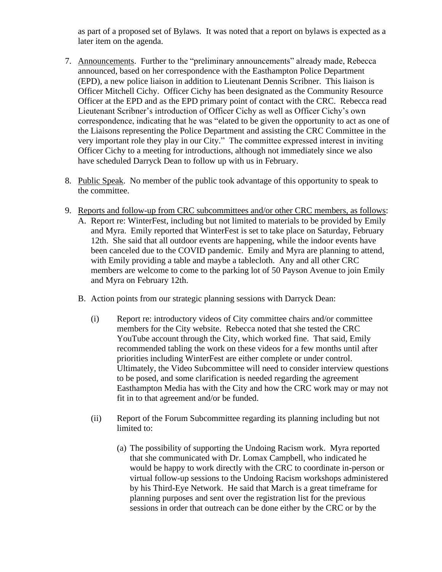as part of a proposed set of Bylaws. It was noted that a report on bylaws is expected as a later item on the agenda.

- 7. Announcements. Further to the "preliminary announcements" already made, Rebecca announced, based on her correspondence with the Easthampton Police Department (EPD), a new police liaison in addition to Lieutenant Dennis Scribner. This liaison is Officer Mitchell Cichy. Officer Cichy has been designated as the Community Resource Officer at the EPD and as the EPD primary point of contact with the CRC. Rebecca read Lieutenant Scribner's introduction of Officer Cichy as well as Officer Cichy's own correspondence, indicating that he was "elated to be given the opportunity to act as one of the Liaisons representing the Police Department and assisting the CRC Committee in the very important role they play in our City." The committee expressed interest in inviting Officer Cichy to a meeting for introductions, although not immediately since we also have scheduled Darryck Dean to follow up with us in February.
- 8. Public Speak. No member of the public took advantage of this opportunity to speak to the committee.
- 9. Reports and follow-up from CRC subcommittees and/or other CRC members, as follows:
	- A. Report re: WinterFest, including but not limited to materials to be provided by Emily and Myra. Emily reported that WinterFest is set to take place on Saturday, February 12th. She said that all outdoor events are happening, while the indoor events have been canceled due to the COVID pandemic. Emily and Myra are planning to attend, with Emily providing a table and maybe a tablecloth. Any and all other CRC members are welcome to come to the parking lot of 50 Payson Avenue to join Emily and Myra on February 12th.
	- B. Action points from our strategic planning sessions with Darryck Dean:
		- (i) Report re: introductory videos of City committee chairs and/or committee members for the City website. Rebecca noted that she tested the CRC YouTube account through the City, which worked fine. That said, Emily recommended tabling the work on these videos for a few months until after priorities including WinterFest are either complete or under control. Ultimately, the Video Subcommittee will need to consider interview questions to be posed, and some clarification is needed regarding the agreement Easthampton Media has with the City and how the CRC work may or may not fit in to that agreement and/or be funded.
		- (ii) Report of the Forum Subcommittee regarding its planning including but not limited to:
			- (a) The possibility of supporting the Undoing Racism work. Myra reported that she communicated with Dr. Lomax Campbell, who indicated he would be happy to work directly with the CRC to coordinate in-person or virtual follow-up sessions to the Undoing Racism workshops administered by his Third-Eye Network. He said that March is a great timeframe for planning purposes and sent over the registration list for the previous sessions in order that outreach can be done either by the CRC or by the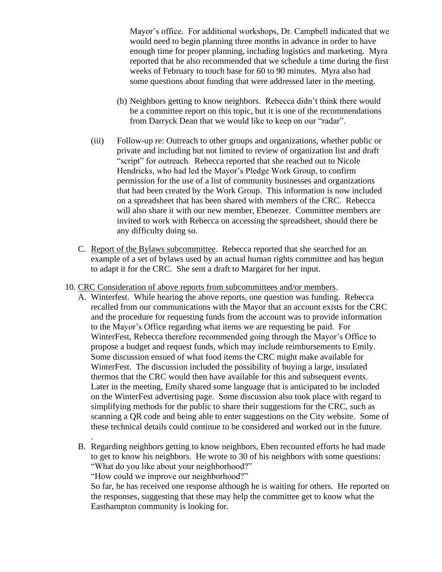Mayor's office. For additional workshops, Dr. Campbell indicated that we would need to begin planning three months in advance in order to have enough time for proper planning, including logistics and marketing. Myra reported that he also recommended that we schedule a time during the first weeks of February to touch base for 60 to 90 minutes. Myra also had some questions about funding that were addressed later in the meeting.

- (b) Neighbors getting to know neighbors. Rebecca didn't think there would be a committee report on this topic, but it is one of the recommendations from Darryck Dean that we would like to keep on our "radar".
- (iii) Follow-up re: Outreach to other groups and organizations, whether public or private and including but not limited to review of organization list and draft "script" for outreach. Rebecca reported that she reached out to Nicole Hendricks, who had led the Mayor's Pledge Work Group, to confirm permission for the use of a list of community businesses and organizations that had been created by the Work Group. This information is now included on a spreadsheet that has been shared with members of the CRC. Rebecca will also share it with our new member, Ebenezer. Committee members are invited to work with Rebecca on accessing the spreadsheet, should there be any difficulty doing so.
- C. Report of the Bylaws subcommittee. Rebecca reported that she searched for an example of a set of bylaws used by an actual human rights committee and has begun to adapt it for the CRC. She sent a draft to Margaret for her input.
- 10. CRC Consideration of above reports from subcommittees and/or members.
	- A. Winterfest. While hearing the above reports, one question was funding. Rebecca recalled from our communications with the Mayor that an account exists for the CRC and the procedure for requesting funds from the account was to provide information to the Mayor's Office regarding what items we are requesting be paid. For WinterFest, Rebecca therefore recommended going through the Mayor's Office to propose a budget and request funds, which may include reimbursements to Emily. Some discussion ensued of what food items the CRC might make available for WinterFest. The discussion included the possibility of buying a large, insulated thermos that the CRC would then have available for this and subsequent events. Later in the meeting, Emily shared some language that is anticipated to be included on the WinterFest advertising page. Some discussion also took place with regard to simplifying methods for the public to share their suggestions for the CRC, such as scanning a QR code and being able to enter suggestions on the City website. Some of these technical details could continue to be considered and worked out in the future.
	- B. Regarding neighbors getting to know neighbors, Eben recounted efforts he had made to get to know his neighbors. He wrote to 30 of his neighbors with some questions: "What do you like about your neighborhood?"

"How could we improve our neighborhood?"

.

So far, he has received one response although he is waiting for others. He reported on the responses, suggesting that these may help the committee get to know what the Easthampton community is looking for.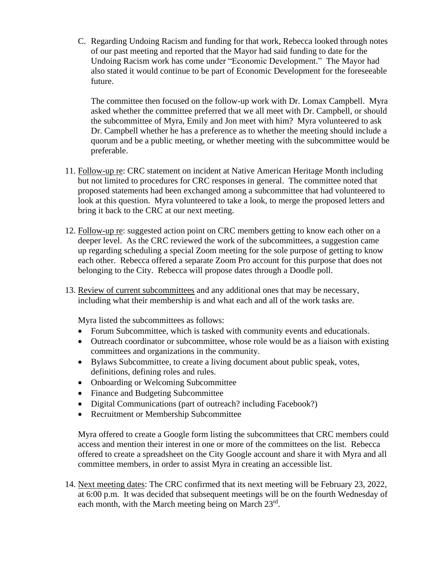C. Regarding Undoing Racism and funding for that work, Rebecca looked through notes of our past meeting and reported that the Mayor had said funding to date for the Undoing Racism work has come under "Economic Development." The Mayor had also stated it would continue to be part of Economic Development for the foreseeable future.

The committee then focused on the follow-up work with Dr. Lomax Campbell. Myra asked whether the committee preferred that we all meet with Dr. Campbell, or should the subcommittee of Myra, Emily and Jon meet with him? Myra volunteered to ask Dr. Campbell whether he has a preference as to whether the meeting should include a quorum and be a public meeting, or whether meeting with the subcommittee would be preferable.

- 11. Follow-up re: CRC statement on incident at Native American Heritage Month including but not limited to procedures for CRC responses in general. The committee noted that proposed statements had been exchanged among a subcommittee that had volunteered to look at this question. Myra volunteered to take a look, to merge the proposed letters and bring it back to the CRC at our next meeting.
- 12. Follow-up re: suggested action point on CRC members getting to know each other on a deeper level. As the CRC reviewed the work of the subcommittees, a suggestion came up regarding scheduling a special Zoom meeting for the sole purpose of getting to know each other. Rebecca offered a separate Zoom Pro account for this purpose that does not belonging to the City. Rebecca will propose dates through a Doodle poll.
- 13. Review of current subcommittees and any additional ones that may be necessary, including what their membership is and what each and all of the work tasks are.

Myra listed the subcommittees as follows:

- Forum Subcommittee, which is tasked with community events and educationals.
- Outreach coordinator or subcommittee, whose role would be as a liaison with existing committees and organizations in the community.
- Bylaws Subcommittee, to create a living document about public speak, votes, definitions, defining roles and rules.
- Onboarding or Welcoming Subcommittee
- Finance and Budgeting Subcommittee
- Digital Communications (part of outreach? including Facebook?)
- Recruitment or Membership Subcommittee

Myra offered to create a Google form listing the subcommittees that CRC members could access and mention their interest in one or more of the committees on the list. Rebecca offered to create a spreadsheet on the City Google account and share it with Myra and all committee members, in order to assist Myra in creating an accessible list.

14. Next meeting dates: The CRC confirmed that its next meeting will be February 23, 2022, at 6:00 p.m. It was decided that subsequent meetings will be on the fourth Wednesday of each month, with the March meeting being on March 23<sup>rd</sup>.